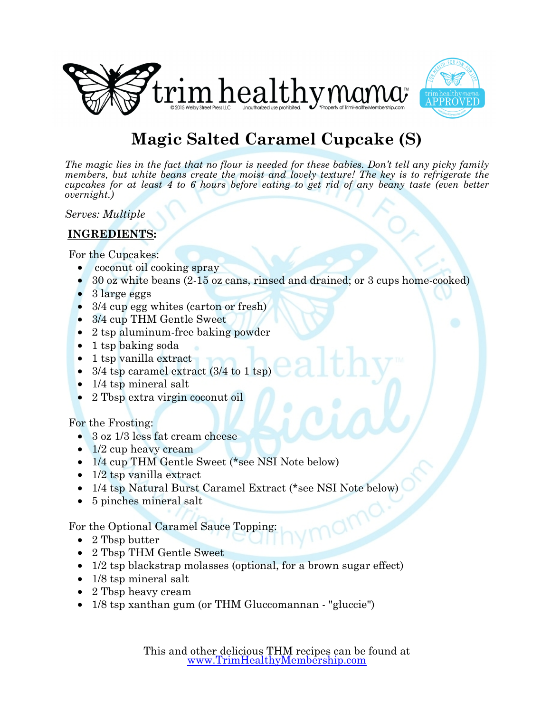



## **Magic Salted Caramel Cupcake (S)**

*The magic lies in the fact that no flour is needed for these babies. Don't tell any picky family members, but white beans create the moist and lovely texture! The key is to refrigerate the cupcakes for at least 4 to 6 hours before eating to get rid of any beany taste (even better overnight.)*

*Serves: Multiple*

## **INGREDIENTS:**

For the Cupcakes:

- coconut oil cooking spray
- 30 oz white beans (2-15 oz cans, rinsed and drained; or 3 cups home-cooked)
- 3 large eggs
- 3/4 cup egg whites (carton or fresh)
- 3/4 cup THM Gentle Sweet
- 2 tsp aluminum-free baking powder
- 1 tsp baking soda
- 1 tsp vanilla extract
- $\frac{3}{4}$  tsp caramel extract ( $\frac{3}{4}$  to  $\frac{1}{1}$  tsp)
- 1/4 tsp mineral salt
- 2 Tbsp extra virgin coconut oil

For the Frosting:

- 3 oz 1/3 less fat cream cheese
- 1/2 cup heavy cream
- 1/4 cup THM Gentle Sweet (\*see NSI Note below)
- 1/2 tsp vanilla extract
- 1/4 tsp Natural Burst Caramel Extract (\*see NSI Note below)
- 5 pinches mineral salt

For the Optional Caramel Sauce Topping:

- 2 Tbsp butter
- 2 Tbsp THM Gentle Sweet
- 1/2 tsp blackstrap molasses (optional, for a brown sugar effect)
- 1/8 tsp mineral salt
- 2 Tbsp heavy cream
- 1/8 tsp xanthan gum (or THM Gluccomannan "gluccie")

This and other delicious THM recipes can be found at [www.TrimHealthyMembership.com](http://www.TrimHealthyMembership.com)